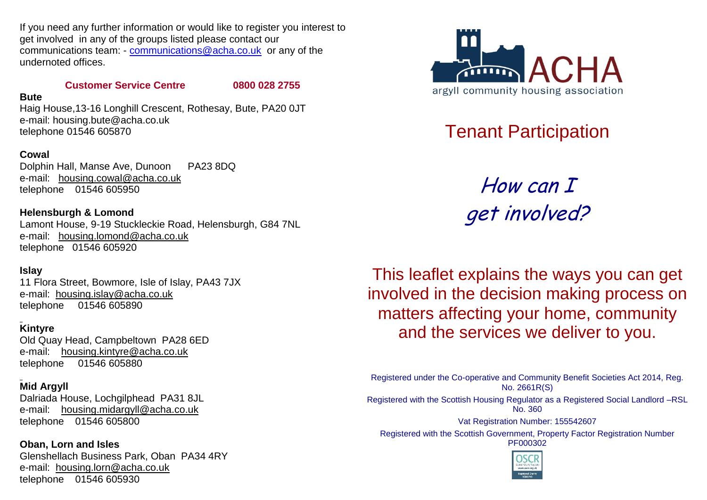If you need any further information or would like to register you interest to get involved in any of the groups listed please contact our communications team: - [communications@acha.co.uk](mailto:communications@acha.co.uk) or any of the undernoted offices.

**Customer Service Centre 0800 028 2755**

### **Bute**

Haig House,13-16 Longhill Crescent, Rothesay, Bute, PA20 0JT e-mail: housing.bute@acha.co.uk telephone 01546 605870

**Cowal** Dolphin Hall, Manse Ave, Dunoon PA23 8DQ e-mail: housing.cowal@acha.co.uk telephone 01546 605950

**Helensburgh & Lomond** Lamont House, 9-19 Stuckleckie Road, Helensburgh, G84 7NL e-mail: housing.lomond@acha.co.uk telephone 01546 605920

## **Islay**

11 Flora Street, Bowmore, Isle of Islay, PA43 7JX e-mail: housing.islay@acha.co.uk telephone 01546 605890

## **Kintyre**

Old Quay Head, Campbeltown PA28 6ED e-mail: housing.kintyre@acha.co.uk telephone 01546 605880

# **Mid Argyll**

Dalriada House, Lochgilphead PA31 8JL e-mail: housing.midargyll@acha.co.uk telephone 01546 605800

**Oban, Lorn and Isles**  Glenshellach Business Park, Oban PA34 4RY e-mail: housing.lorn@acha.co.uk telephone 01546 605930



# Tenant Participation

How can I get involved?

This leaflet explains the ways you can get involved in the decision making process on matters affecting your home, community and the services we deliver to you.

Registered under the Co-operative and Community Benefit Societies Act 2014, Reg. No. 2661R(S)

Registered with the Scottish Housing Regulator as a Registered Social Landlord –RSL No. 360

Vat Registration Number: 155542607

Registered with the Scottish Government, Property Factor Registration Number PF000302